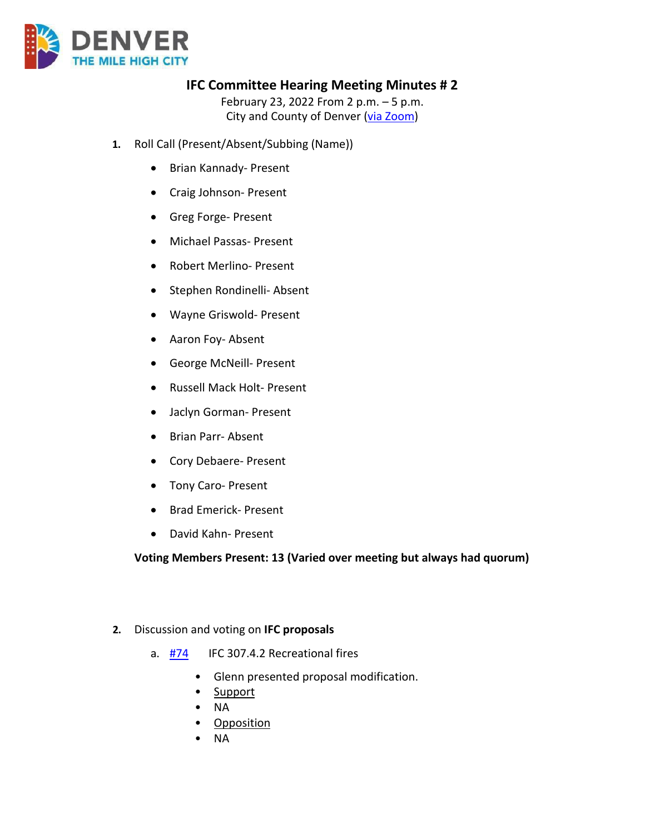

# **IFC Committee Hearing Meeting Minutes # 2**

February 23, 2022 From 2 p.m. – 5 p.m. City and County of Denver [\(via Zoom\)](https://carrier.zoom.us/webinar/register/WN_unV-oNk8RXaftHQqWaO-Dw)

- **1.** Roll Call (Present/Absent/Subbing (Name))
	- Brian Kannady- Present
	- Craig Johnson- Present
	- Greg Forge- Present
	- Michael Passas- Present
	- Robert Merlino- Present
	- Stephen Rondinelli- Absent
	- Wayne Griswold- Present
	- Aaron Foy- Absent
	- George McNeill- Present
	- Russell Mack Holt- Present
	- Jaclyn Gorman- Present
	- Brian Parr- Absent
	- Cory Debaere- Present
	- Tony Caro- Present
	- Brad Emerick- Present
	- David Kahn- Present

#### **Voting Members Present: 13 (Varied over meeting but always had quorum)**

- **2.** Discussion and voting on **IFC proposals**
	- a. [#74](https://www.denvergov.org/files/assets/public/community-planning-and-development/documents/ds/building-codes/code-adoption/amendment-proposals/ifc/ifc_307.4.2.pdf) IFC 307.4.2 Recreational fires
		- Glenn presented proposal modification.
		- Support
		- NA
		- **Opposition**
		- NA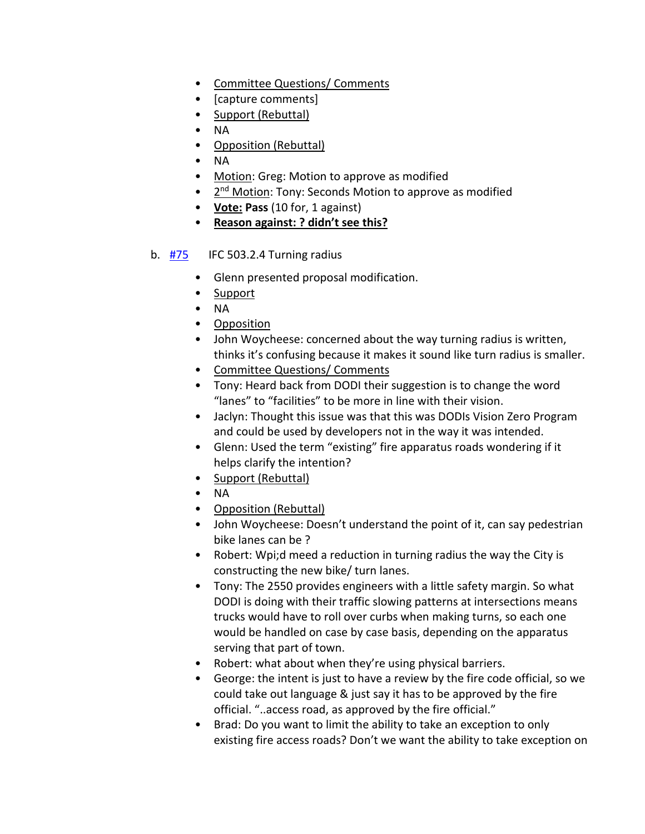- Committee Questions/ Comments
- [capture comments]
- Support (Rebuttal)
- NA
- Opposition (Rebuttal)
- NA
- Motion: Greg: Motion to approve as modified
- 2<sup>nd</sup> Motion: Tony: Seconds Motion to approve as modified
- **Vote: Pass** (10 for, 1 against)
- **Reason against: ? didn't see this?**

#### b. [#75](https://www.denvergov.org/files/assets/public/community-planning-and-development/documents/ds/building-codes/code-adoption/amendment-proposals/ifc/ifc_503.2.4.pdf) IFC 503.2.4 Turning radius

- Glenn presented proposal modification.
- Support
- NA
- Opposition
- John Woycheese: concerned about the way turning radius is written, thinks it's confusing because it makes it sound like turn radius is smaller.
- Committee Questions/ Comments
- Tony: Heard back from DODI their suggestion is to change the word "lanes" to "facilities" to be more in line with their vision.
- Jaclyn: Thought this issue was that this was DODIs Vision Zero Program and could be used by developers not in the way it was intended.
- Glenn: Used the term "existing" fire apparatus roads wondering if it helps clarify the intention?
- Support (Rebuttal)
- NA
- Opposition (Rebuttal)
- John Woycheese: Doesn't understand the point of it, can say pedestrian bike lanes can be ?
- Robert: Wpi;d meed a reduction in turning radius the way the City is constructing the new bike/ turn lanes.
- Tony: The 2550 provides engineers with a little safety margin. So what DODI is doing with their traffic slowing patterns at intersections means trucks would have to roll over curbs when making turns, so each one would be handled on case by case basis, depending on the apparatus serving that part of town.
- Robert: what about when they're using physical barriers.
- George: the intent is just to have a review by the fire code official, so we could take out language & just say it has to be approved by the fire official. "..access road, as approved by the fire official."
- Brad: Do you want to limit the ability to take an exception to only existing fire access roads? Don't we want the ability to take exception on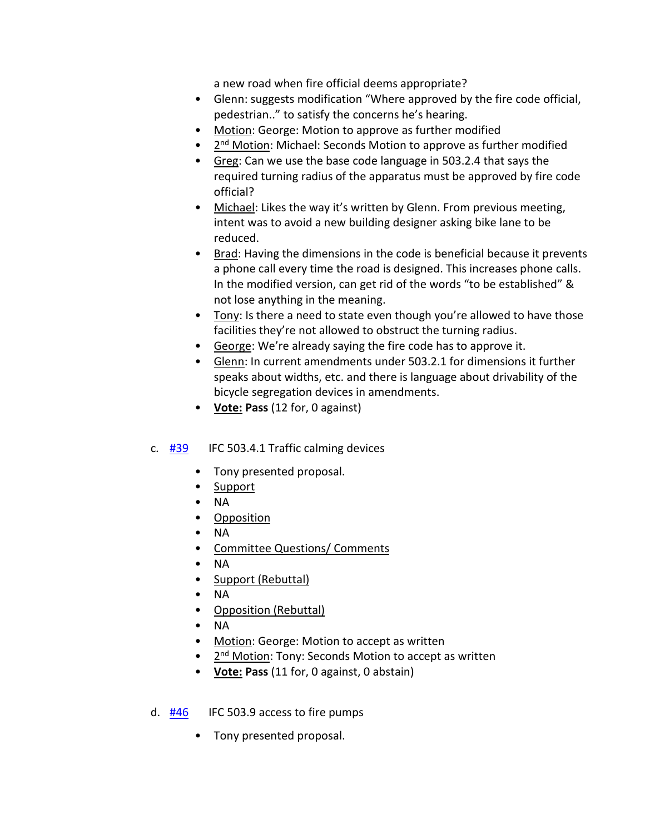a new road when fire official deems appropriate?

- Glenn: suggests modification "Where approved by the fire code official, pedestrian.." to satisfy the concerns he's hearing.
- Motion: George: Motion to approve as further modified
- 2<sup>nd</sup> Motion: Michael: Seconds Motion to approve as further modified
- Greg: Can we use the base code language in 503.2.4 that says the required turning radius of the apparatus must be approved by fire code official?
- Michael: Likes the way it's written by Glenn. From previous meeting, intent was to avoid a new building designer asking bike lane to be reduced.
- Brad: Having the dimensions in the code is beneficial because it prevents a phone call every time the road is designed. This increases phone calls. In the modified version, can get rid of the words "to be established" & not lose anything in the meaning.
- Tony: Is there a need to state even though you're allowed to have those facilities they're not allowed to obstruct the turning radius.
- George: We're already saying the fire code has to approve it.
- Glenn: In current amendments under 503.2.1 for dimensions it further speaks about widths, etc. and there is language about drivability of the bicycle segregation devices in amendments.
- **Vote: Pass** (12 for, 0 against)

## c.  $\frac{\#39}{\#39}$  $\frac{\#39}{\#39}$  $\frac{\#39}{\#39}$  IFC 503.4.1 Traffic calming devices

- Tony presented proposal.
- Support
- NA
- Opposition
- NA
- **Committee Questions/ Comments**
- NA
- Support (Rebuttal)
- NA
- Opposition (Rebuttal)
- NA
- Motion: George: Motion to accept as written
- 2<sup>nd</sup> Motion: Tony: Seconds Motion to accept as written
- **Vote: Pass** (11 for, 0 against, 0 abstain)

## d.  $\frac{\#46}{\#46}$  $\frac{\#46}{\#46}$  $\frac{\#46}{\#46}$  IFC 503.9 access to fire pumps

• Tony presented proposal.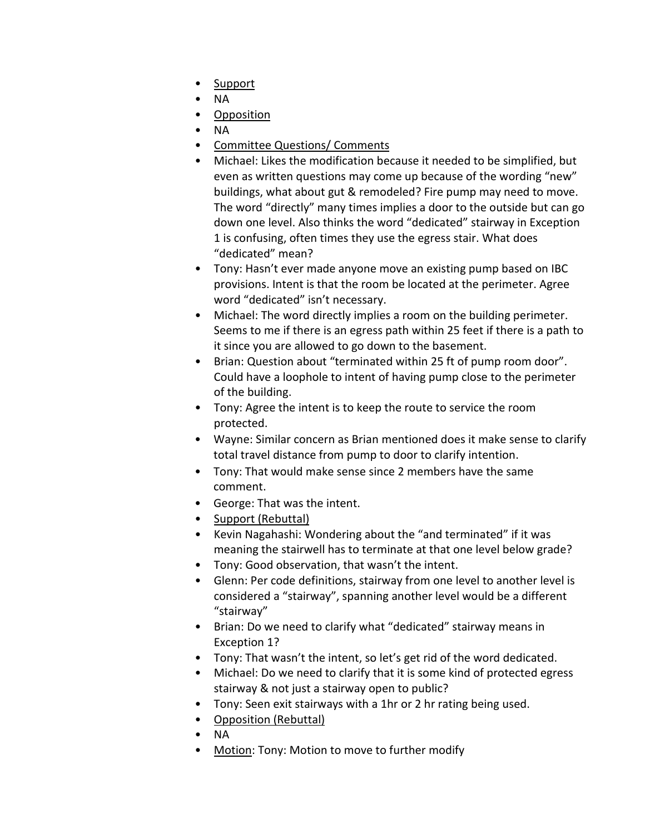- Support
- NA
- Opposition
- NA
- Committee Questions/ Comments
- Michael: Likes the modification because it needed to be simplified, but even as written questions may come up because of the wording "new" buildings, what about gut & remodeled? Fire pump may need to move. The word "directly" many times implies a door to the outside but can go down one level. Also thinks the word "dedicated" stairway in Exception 1 is confusing, often times they use the egress stair. What does "dedicated" mean?
- Tony: Hasn't ever made anyone move an existing pump based on IBC provisions. Intent is that the room be located at the perimeter. Agree word "dedicated" isn't necessary.
- Michael: The word directly implies a room on the building perimeter. Seems to me if there is an egress path within 25 feet if there is a path to it since you are allowed to go down to the basement.
- Brian: Question about "terminated within 25 ft of pump room door". Could have a loophole to intent of having pump close to the perimeter of the building.
- Tony: Agree the intent is to keep the route to service the room protected.
- Wayne: Similar concern as Brian mentioned does it make sense to clarify total travel distance from pump to door to clarify intention.
- Tony: That would make sense since 2 members have the same comment.
- George: That was the intent.
- Support (Rebuttal)
- Kevin Nagahashi: Wondering about the "and terminated" if it was meaning the stairwell has to terminate at that one level below grade?
- Tony: Good observation, that wasn't the intent.
- Glenn: Per code definitions, stairway from one level to another level is considered a "stairway", spanning another level would be a different "stairway"
- Brian: Do we need to clarify what "dedicated" stairway means in Exception 1?
- Tony: That wasn't the intent, so let's get rid of the word dedicated.
- Michael: Do we need to clarify that it is some kind of protected egress stairway & not just a stairway open to public?
- Tony: Seen exit stairways with a 1hr or 2 hr rating being used.
- Opposition (Rebuttal)
- NA
- Motion: Tony: Motion to move to further modify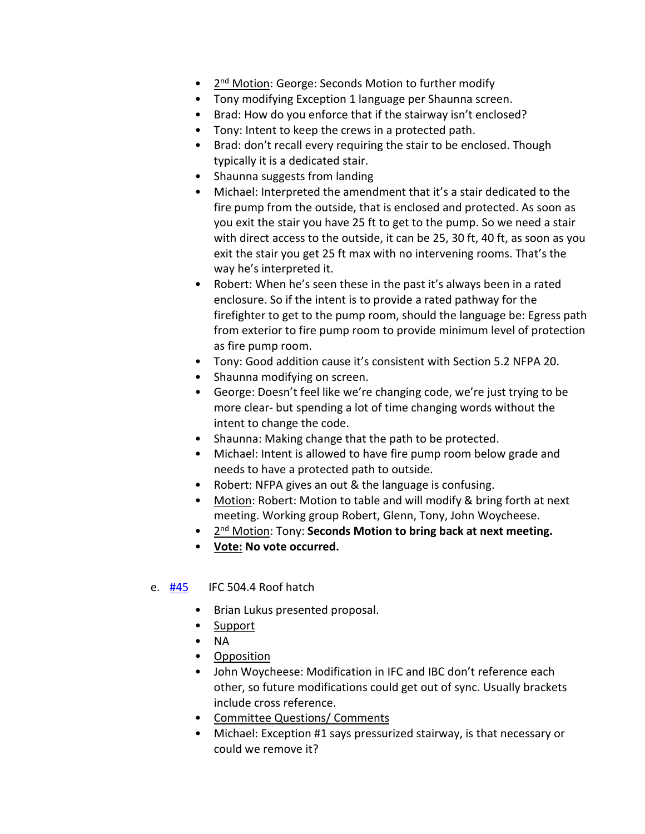- 2<sup>nd</sup> Motion: George: Seconds Motion to further modify
- Tony modifying Exception 1 language per Shaunna screen.
- Brad: How do you enforce that if the stairway isn't enclosed?
- Tony: Intent to keep the crews in a protected path.
- Brad: don't recall every requiring the stair to be enclosed. Though typically it is a dedicated stair.
- Shaunna suggests from landing
- Michael: Interpreted the amendment that it's a stair dedicated to the fire pump from the outside, that is enclosed and protected. As soon as you exit the stair you have 25 ft to get to the pump. So we need a stair with direct access to the outside, it can be 25, 30 ft, 40 ft, as soon as you exit the stair you get 25 ft max with no intervening rooms. That's the way he's interpreted it.
- Robert: When he's seen these in the past it's always been in a rated enclosure. So if the intent is to provide a rated pathway for the firefighter to get to the pump room, should the language be: Egress path from exterior to fire pump room to provide minimum level of protection as fire pump room.
- Tony: Good addition cause it's consistent with Section 5.2 NFPA 20.
- Shaunna modifying on screen.
- George: Doesn't feel like we're changing code, we're just trying to be more clear- but spending a lot of time changing words without the intent to change the code.
- Shaunna: Making change that the path to be protected.
- Michael: Intent is allowed to have fire pump room below grade and needs to have a protected path to outside.
- Robert: NFPA gives an out & the language is confusing.
- Motion: Robert: Motion to table and will modify & bring forth at next meeting. Working group Robert, Glenn, Tony, John Woycheese.
- 2nd Motion: Tony: **Seconds Motion to bring back at next meeting.**
- **Vote: No vote occurred.**
- e. [#45](https://www.denvergov.org/files/assets/public/community-planning-and-development/documents/ds/building-codes/code-adoption/amendment-proposals/ifc/ifc_504.4.pdf) IFC 504.4 Roof hatch
	- Brian Lukus presented proposal.
	- Support
	- NA
	- Opposition
	- John Woycheese: Modification in IFC and IBC don't reference each other, so future modifications could get out of sync. Usually brackets include cross reference.
	- Committee Questions/ Comments
	- Michael: Exception #1 says pressurized stairway, is that necessary or could we remove it?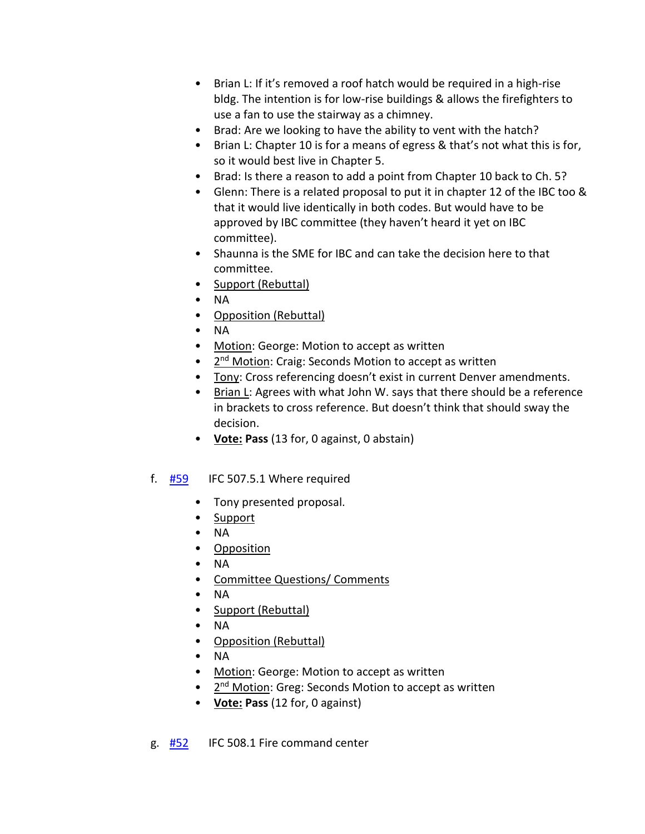- Brian L: If it's removed a roof hatch would be required in a high-rise bldg. The intention is for low-rise buildings & allows the firefighters to use a fan to use the stairway as a chimney.
- Brad: Are we looking to have the ability to vent with the hatch?
- Brian L: Chapter 10 is for a means of egress & that's not what this is for, so it would best live in Chapter 5.
- Brad: Is there a reason to add a point from Chapter 10 back to Ch. 5?
- Glenn: There is a related proposal to put it in chapter 12 of the IBC too & that it would live identically in both codes. But would have to be approved by IBC committee (they haven't heard it yet on IBC committee).
- Shaunna is the SME for IBC and can take the decision here to that committee.
- Support (Rebuttal)
- NA
- Opposition (Rebuttal)
- NA
- Motion: George: Motion to accept as written
- 2<sup>nd</sup> Motion: Craig: Seconds Motion to accept as written
- Tony: Cross referencing doesn't exist in current Denver amendments.
- Brian L: Agrees with what John W. says that there should be a reference in brackets to cross reference. But doesn't think that should sway the decision.
- **Vote: Pass** (13 for, 0 against, 0 abstain)
- f.  $\frac{\#59}{\#59}$  $\frac{\#59}{\#59}$  $\frac{\#59}{\#59}$  IFC 507.5.1 Where required
	- Tony presented proposal.
	- Support
	- NA
	- Opposition
	- NA
	- Committee Questions/ Comments
	- NA
	- Support (Rebuttal)
	- NA
	- Opposition (Rebuttal)
	- NA
	- Motion: George: Motion to accept as written
	- 2<sup>nd</sup> Motion: Greg: Seconds Motion to accept as written
	- **Vote: Pass** (12 for, 0 against)
- g. [#52](https://www.denvergov.org/files/assets/public/community-planning-and-development/documents/ds/building-codes/code-adoption/amendment-proposals/ifc/ifc_508.1.pdf) IFC 508.1 Fire command center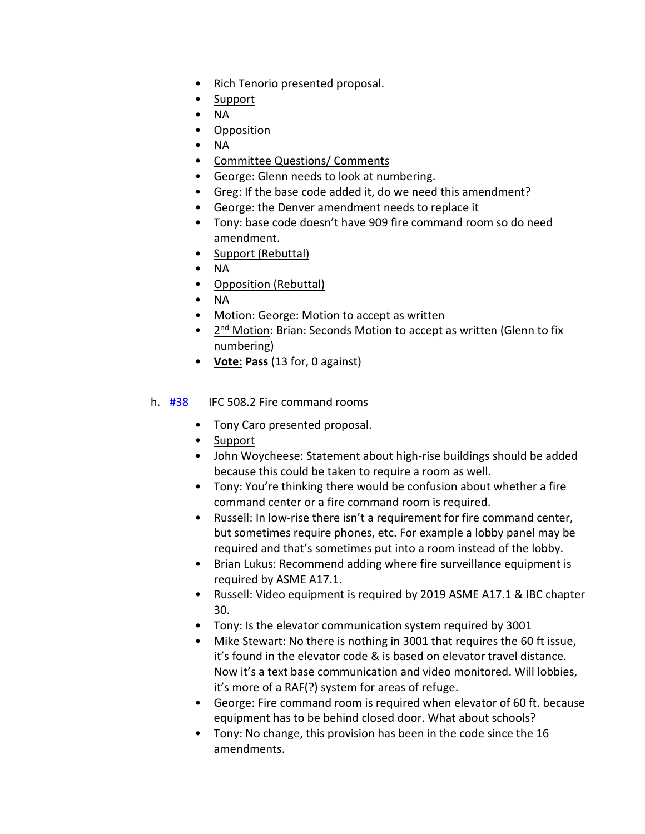- Rich Tenorio presented proposal.
- Support
- NA
- Opposition
- NA
- Committee Questions/ Comments
- George: Glenn needs to look at numbering.
- Greg: If the base code added it, do we need this amendment?
- George: the Denver amendment needs to replace it
- Tony: base code doesn't have 909 fire command room so do need amendment.
- Support (Rebuttal)
- NA
- Opposition (Rebuttal)
- NA
- Motion: George: Motion to accept as written
- 2<sup>nd</sup> Motion: Brian: Seconds Motion to accept as written (Glenn to fix numbering)
- **Vote: Pass** (13 for, 0 against)

#### h. [#38](https://www.denvergov.org/files/assets/public/community-planning-and-development/documents/ds/building-codes/code-adoption/amendment-proposals/ifc/ifc_508.2.pdf) IFC 508.2 Fire command rooms

- Tony Caro presented proposal.
- Support
- John Woycheese: Statement about high-rise buildings should be added because this could be taken to require a room as well.
- Tony: You're thinking there would be confusion about whether a fire command center or a fire command room is required.
- Russell: In low-rise there isn't a requirement for fire command center, but sometimes require phones, etc. For example a lobby panel may be required and that's sometimes put into a room instead of the lobby.
- Brian Lukus: Recommend adding where fire surveillance equipment is required by ASME A17.1.
- Russell: Video equipment is required by 2019 ASME A17.1 & IBC chapter 30.
- Tony: Is the elevator communication system required by 3001
- Mike Stewart: No there is nothing in 3001 that requires the 60 ft issue, it's found in the elevator code & is based on elevator travel distance. Now it's a text base communication and video monitored. Will lobbies, it's more of a RAF(?) system for areas of refuge.
- George: Fire command room is required when elevator of 60 ft. because equipment has to be behind closed door. What about schools?
- Tony: No change, this provision has been in the code since the 16 amendments.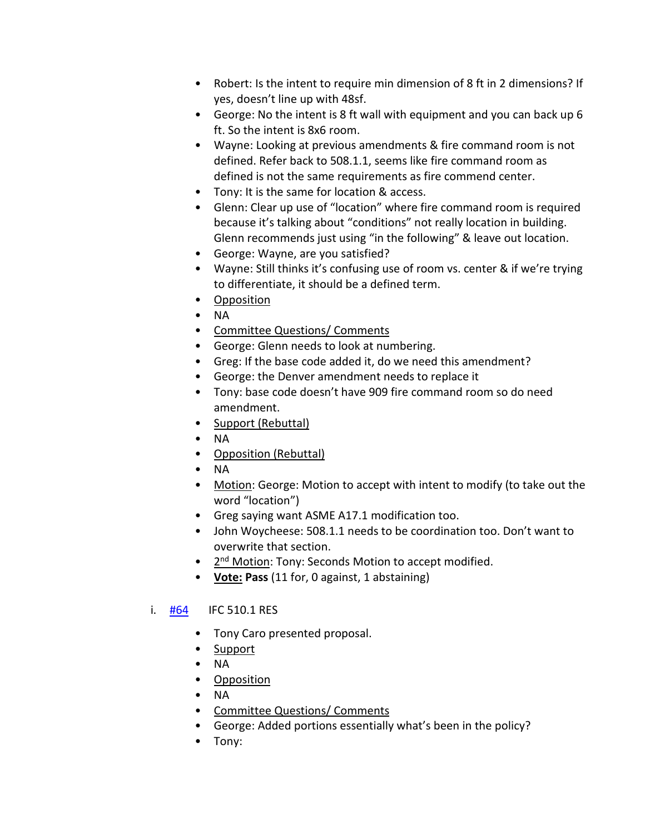- Robert: Is the intent to require min dimension of 8 ft in 2 dimensions? If yes, doesn't line up with 48sf.
- George: No the intent is 8 ft wall with equipment and you can back up 6 ft. So the intent is 8x6 room.
- Wayne: Looking at previous amendments & fire command room is not defined. Refer back to 508.1.1, seems like fire command room as defined is not the same requirements as fire commend center.
- Tony: It is the same for location & access.
- Glenn: Clear up use of "location" where fire command room is required because it's talking about "conditions" not really location in building. Glenn recommends just using "in the following" & leave out location.
- George: Wayne, are you satisfied?
- Wayne: Still thinks it's confusing use of room vs. center & if we're trying to differentiate, it should be a defined term.
- Opposition
- NA
- Committee Questions/ Comments
- George: Glenn needs to look at numbering.
- Greg: If the base code added it, do we need this amendment?
- George: the Denver amendment needs to replace it
- Tony: base code doesn't have 909 fire command room so do need amendment.
- Support (Rebuttal)
- NA
- Opposition (Rebuttal)
- NA
- Motion: George: Motion to accept with intent to modify (to take out the word "location")
- Greg saying want ASME A17.1 modification too.
- John Woycheese: 508.1.1 needs to be coordination too. Don't want to overwrite that section.
- 2<sup>nd</sup> Motion: Tony: Seconds Motion to accept modified.
- **Vote: Pass** (11 for, 0 against, 1 abstaining)

## i.  $\frac{#64}{#64}$  $\frac{#64}{#64}$  $\frac{#64}{#64}$  IFC 510.1 RES

- Tony Caro presented proposal.
- Support
- NA
- Opposition
- NA
- Committee Questions/ Comments
- George: Added portions essentially what's been in the policy?
- Tony: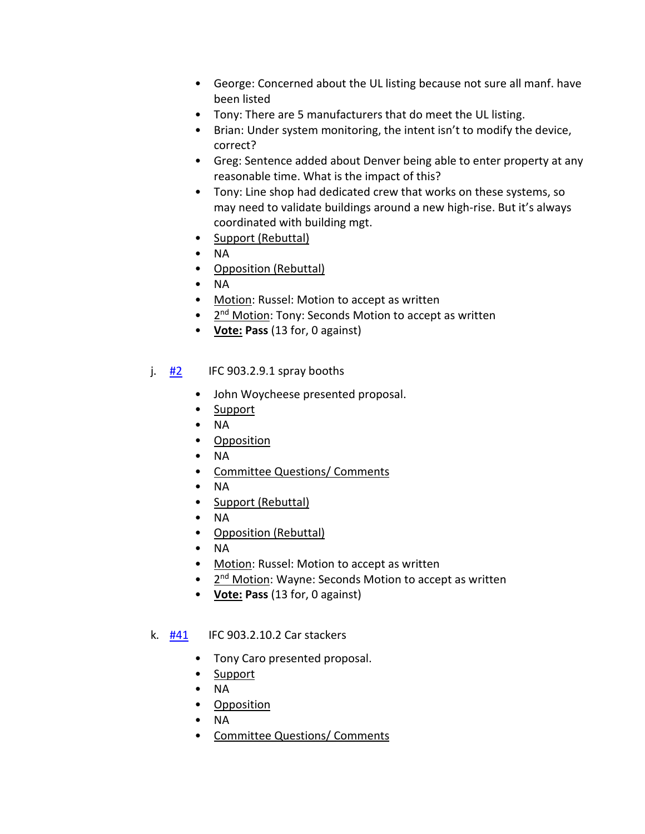- George: Concerned about the UL listing because not sure all manf. have been listed
- Tony: There are 5 manufacturers that do meet the UL listing.
- Brian: Under system monitoring, the intent isn't to modify the device, correct?
- Greg: Sentence added about Denver being able to enter property at any reasonable time. What is the impact of this?
- Tony: Line shop had dedicated crew that works on these systems, so may need to validate buildings around a new high-rise. But it's always coordinated with building mgt.
- Support (Rebuttal)
- NA
- Opposition (Rebuttal)
- NA
- Motion: Russel: Motion to accept as written
- 2<sup>nd</sup> Motion: Tony: Seconds Motion to accept as written
- **Vote: Pass** (13 for, 0 against)
- j.  $#2$  IFC 903.2.9.1 spray booths
	- John Woycheese presented proposal.
	- Support
	- NA
	- Opposition
	- NA
	- Committee Questions/ Comments
	- NA
	- Support (Rebuttal)
	- NA
	- Opposition (Rebuttal)
	- NA
	- Motion: Russel: Motion to accept as written
	- 2<sup>nd</sup> Motion: Wayne: Seconds Motion to accept as written
	- **Vote: Pass** (13 for, 0 against)
- k. [#41](https://www.denvergov.org/files/assets/public/community-planning-and-development/documents/ds/building-codes/code-adoption/amendment-proposals/ifc/ifc_903.2.10.2.pdf) IFC 903.2.10.2 Car stackers
	- Tony Caro presented proposal.
	- Support
	- NA
	- Opposition
	- NA
	- Committee Questions/ Comments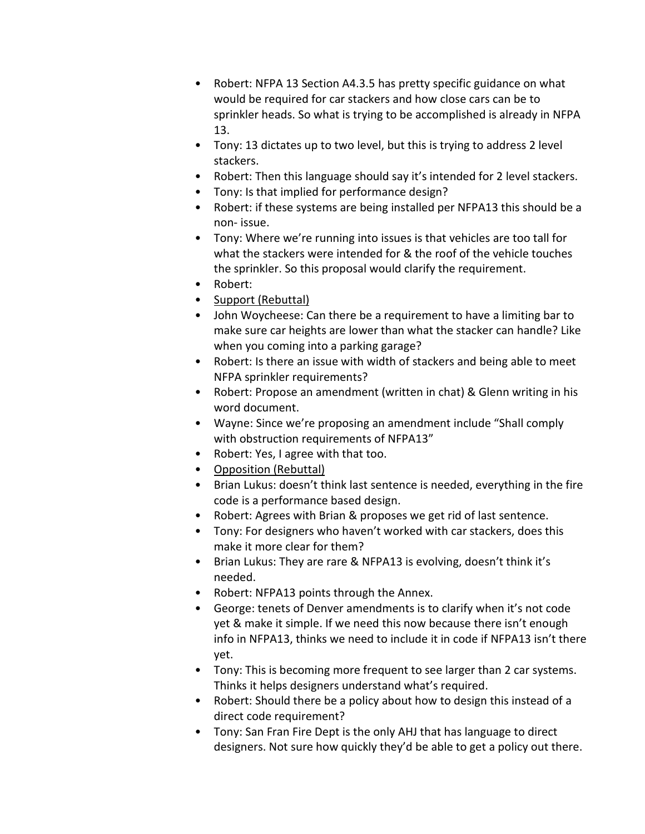- Robert: NFPA 13 Section A4.3.5 has pretty specific guidance on what would be required for car stackers and how close cars can be to sprinkler heads. So what is trying to be accomplished is already in NFPA 13.
- Tony: 13 dictates up to two level, but this is trying to address 2 level stackers.
- Robert: Then this language should say it's intended for 2 level stackers.
- Tony: Is that implied for performance design?
- Robert: if these systems are being installed per NFPA13 this should be a non- issue.
- Tony: Where we're running into issues is that vehicles are too tall for what the stackers were intended for & the roof of the vehicle touches the sprinkler. So this proposal would clarify the requirement.
- Robert:
- Support (Rebuttal)
- John Woycheese: Can there be a requirement to have a limiting bar to make sure car heights are lower than what the stacker can handle? Like when you coming into a parking garage?
- Robert: Is there an issue with width of stackers and being able to meet NFPA sprinkler requirements?
- Robert: Propose an amendment (written in chat) & Glenn writing in his word document.
- Wayne: Since we're proposing an amendment include "Shall comply with obstruction requirements of NFPA13"
- Robert: Yes, I agree with that too.
- Opposition (Rebuttal)
- Brian Lukus: doesn't think last sentence is needed, everything in the fire code is a performance based design.
- Robert: Agrees with Brian & proposes we get rid of last sentence.
- Tony: For designers who haven't worked with car stackers, does this make it more clear for them?
- Brian Lukus: They are rare & NFPA13 is evolving, doesn't think it's needed.
- Robert: NFPA13 points through the Annex.
- George: tenets of Denver amendments is to clarify when it's not code yet & make it simple. If we need this now because there isn't enough info in NFPA13, thinks we need to include it in code if NFPA13 isn't there yet.
- Tony: This is becoming more frequent to see larger than 2 car systems. Thinks it helps designers understand what's required.
- Robert: Should there be a policy about how to design this instead of a direct code requirement?
- Tony: San Fran Fire Dept is the only AHJ that has language to direct designers. Not sure how quickly they'd be able to get a policy out there.